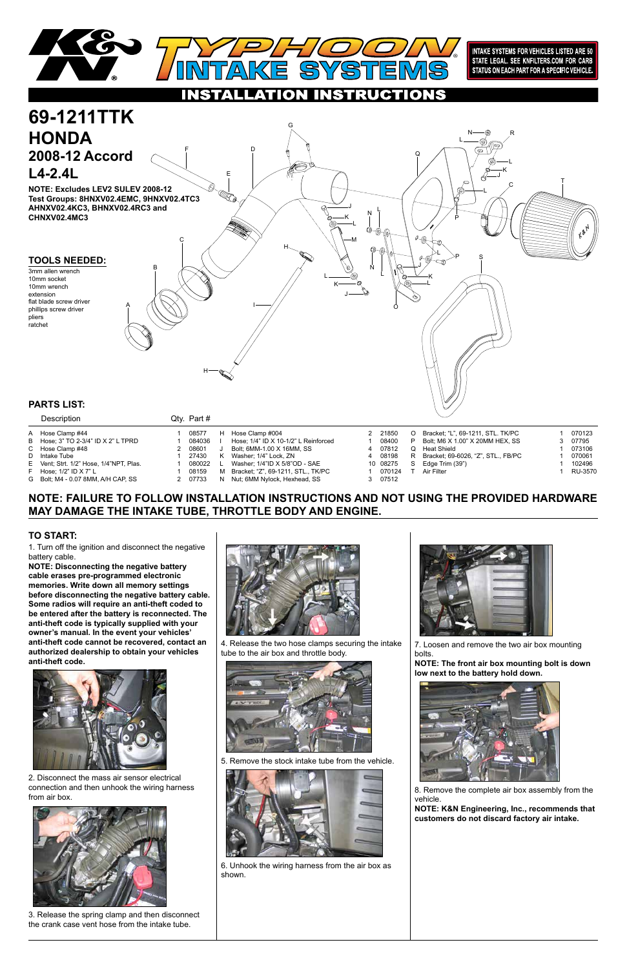## **NOTE: FAILURE TO FOLLOW INSTALLATION INSTRUCTIONS AND NOT USING THE PROVIDED HARDWARE MAY DAMAGE THE INTAKE TUBE, THROTTLE BODY AND ENGINE.**

1. Turn off the ignition and disconnect the negative battery cable.

**NOTE: Disconnecting the negative battery cable erases pre-programmed electronic memories. Write down all memory settings before disconnecting the negative battery cable. Some radios will require an anti-theft coded to be entered after the battery is reconnected. The anti-theft code is typically supplied with your owner's manual. In the event your vehicles' anti-theft code cannot be recovered, contact an authorized dealership to obtain your vehicles anti-theft code.**



### **TO START:**



INTAKE SYSTEMS FOR VEHICLES LISTED ARE 50 STATE LEGAL. SEE KNFILTERS.COM FOR CARB STATUS ON EACH PART FOR A SPECIFIC VEHICLE.

IONS CT

2. Disconnect the mass air sensor electrical connection and then unhook the wiring harness from air box.



3. Release the spring clamp and then disconnect the crank case vent hose from the intake tube.



4. Release the two hose clamps securing the intake tube to the air box and throttle body.



5. Remove the stock intake tube from the vehicle.





6. Unhook the wiring harness from the air box as shown.



7. Loosen and remove the two air box mounting bolts.

**NOTE: The front air box mounting bolt is down low next to the battery hold down.**



8. Remove the complete air box assembly from the vehicle.

**NOTE: K&N Engineering, Inc., recommends that customers do not discard factory air intake.**

| <b>Description</b>                      | $QIV.$ Pall $H$ |    |                                         |          |         |                                    |         |
|-----------------------------------------|-----------------|----|-----------------------------------------|----------|---------|------------------------------------|---------|
| A Hose Clamp #44                        | 08577           | н  | Hose Clamp #004                         | 2 21850  | $\circ$ | Bracket: "L", 69-1211, STL. TK/PC  | 070123  |
| B Hose: 3" TO 2-3/4" ID X 2" L TPRD     | 084036          |    | Hose: $1/4$ " ID X 10-1/2" L Reinforced | 08400    |         | Bolt; M6 X 1.00" X 20MM HEX, SS    | 3 07795 |
| C Hose Clamp #48                        | 2 08601         |    | Bolt: 6MM-1.00 X 16MM, SS               | 4 07812  |         | Heat Shield                        | 073106  |
| D Intake Tube                           | 27430           | к  | Washer; 1/4" Lock, ZN                   | 4 08198  | R       | Bracket: 69-6026, "Z", STL., FB/PC | 070061  |
| E Vent: Strt. 1/2" Hose, 1/4"NPT, Plas. | 080022          |    | Washer: 1/4"ID X 5/8"OD - SAE           | 10 08275 |         | Edge Trim (39")                    | 102496  |
| $F$ Hose: 1/2" ID X 7" L                | 08159           | M  | Bracket: "Z", 69-1211, STL., TK/PC      | 070124   |         | Air Filter                         | RU-3570 |
| G Bolt: M4 - 0.07 8MM, A/H CAP, SS      | 2 07733         | N. | Nut; 6MM Nylock, Hexhead, SS            | 3 07512  |         |                                    |         |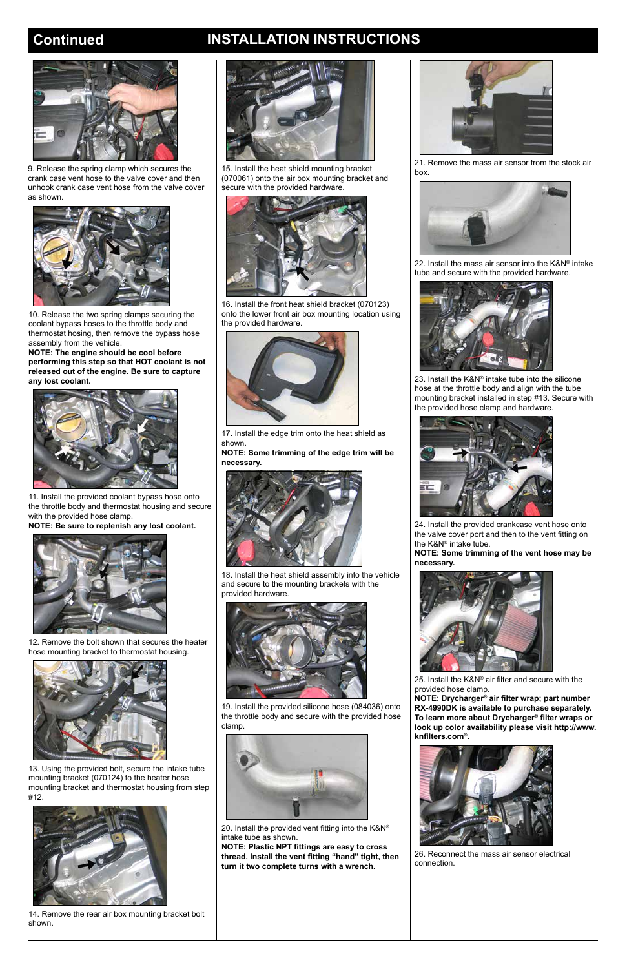# **Continued INSTALLATION INSTRUCTIONS**

11. Install the provided coolant bypass hose onto the throttle body and thermostat housing and secure with the provided hose clamp.

**NOTE: Be sure to replenish any lost coolant.**



12. Remove the bolt shown that secures the heater hose mounting bracket to thermostat housing.



13. Using the provided bolt, secure the intake tube mounting bracket (070124) to the heater hose mounting bracket and thermostat housing from step #12.



14. Remove the rear air box mounting bracket bolt shown.

![](_page_1_Picture_13.jpeg)

15. Install the heat shield mounting bracket (070061) onto the air box mounting bracket and secure with the provided hardware.

![](_page_1_Picture_15.jpeg)

16. Install the front heat shield bracket (070123) onto the lower front air box mounting location using the provided hardware.

![](_page_1_Picture_17.jpeg)

17. Install the edge trim onto the heat shield as shown.

**NOTE: Some trimming of the edge trim will be necessary.**

![](_page_1_Picture_20.jpeg)

18. Install the heat shield assembly into the vehicle and secure to the mounting brackets with the provided hardware.

![](_page_1_Picture_22.jpeg)

19. Install the provided silicone hose (084036) onto

![](_page_1_Picture_24.jpeg)

the throttle body and secure with the provided hose clamp.

![](_page_1_Picture_40.jpeg)

20. Install the provided vent fitting into the K&N® intake tube as shown.

**NOTE: Plastic NPT fittings are easy to cross thread. Install the vent fitting "hand" tight, then turn it two complete turns with a wrench.**

21. Remove the mass air sensor from the stock air box.

![](_page_1_Picture_26.jpeg)

22. Install the mass air sensor into the K&N® intake tube and secure with the provided hardware.

![](_page_1_Picture_28.jpeg)

23. Install the K&N® intake tube into the silicone hose at the throttle body and align with the tube mounting bracket installed in step #13. Secure with the provided hose clamp and hardware.

![](_page_1_Picture_30.jpeg)

24. Install the provided crankcase vent hose onto the valve cover port and then to the vent fitting on the K&N® intake tube.

**NOTE: Some trimming of the vent hose may be necessary.**

![](_page_1_Picture_33.jpeg)

25. Install the K&N® air filter and secure with the provided hose clamp.

**NOTE: Drycharger® air filter wrap; part number RX-4990DK is available to purchase separately.** 

**To learn more about Drycharger® filter wraps or look up color availability please visit http://www. knfilters.com®.**

![](_page_1_Picture_44.jpeg)

26. Reconnect the mass air sensor electrical connection.

![](_page_1_Picture_2.jpeg)

9. Release the spring clamp which secures the crank case vent hose to the valve cover and then unhook crank case vent hose from the valve cover as shown.

![](_page_1_Picture_4.jpeg)

10. Release the two spring clamps securing the coolant bypass hoses to the throttle body and thermostat hosing, then remove the bypass hose assembly from the vehicle.

**NOTE: The engine should be cool before performing this step so that HOT coolant is not released out of the engine. Be sure to capture any lost coolant.**

![](_page_1_Picture_7.jpeg)